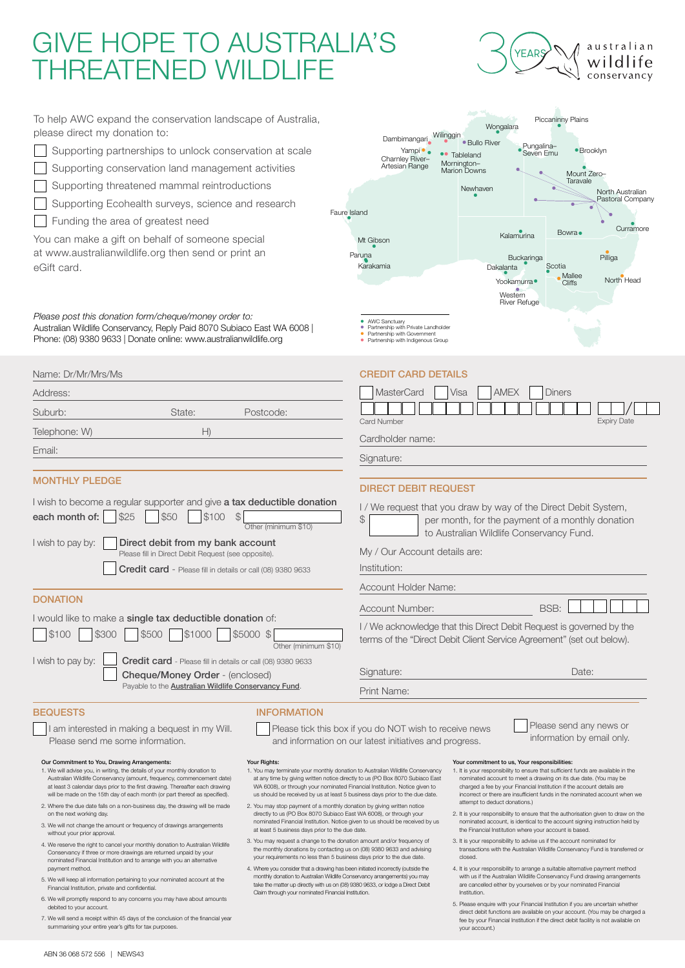# GIVE HOPE TO AUSTRALIA'S THREATENED WILDLIFE



Piccaninny Plains

To help AWC expand the conservation landscape of Australia, please direct my donation to:

- Supporting partnerships to unlock conservation at scale
- Supporting conservation land management activities
- Supporting threatened mammal reintroductions
- Supporting Ecohealth surveys, science and research
- Funding the area of greatest need

Name: Dr/Mr/Mrs/Ms

You can make a gift on behalf of someone special at www.australianwildlife.org then send or print an eGift card.

*Please post this donation form/cheque/money order to:* Australian Wildlife Conservancy, Reply Paid 8070 Subiaco East WA 6008 | Phone: (08) 9380 9633 | Donate online: www.australianwildlife.org

|                                                                                                                                    | Wongalara                                                                    |                         |                                            |                                      |
|------------------------------------------------------------------------------------------------------------------------------------|------------------------------------------------------------------------------|-------------------------|--------------------------------------------|--------------------------------------|
| Wilinggin<br>Dambimangari<br>Yampi •<br>$\bullet\bullet$<br>Charnley River-<br>Artesian Range                                      | · Bullo River<br>Tableland<br>Mornington-<br><b>Marion Downs</b><br>Newhaven | Pungalina-<br>Seven Fmu | <b>Brooklyn</b><br>Mount Zero-<br>Taravale | North Australian<br>Pastoral Company |
| Faure Island                                                                                                                       |                                                                              |                         |                                            |                                      |
| Mt Gibson                                                                                                                          | Kalamurina                                                                   |                         | Bowra •                                    | Curramore                            |
| Paruna                                                                                                                             |                                                                              | <b>Buckaringa</b>       |                                            | Pilliga                              |
| Karakamia                                                                                                                          | Dakalanta<br>Yookamurra ·                                                    |                         | Scotia<br>Mallee<br><b>Cliffs</b>          | North Head                           |
|                                                                                                                                    | Western<br>River Refuge                                                      |                         |                                            |                                      |
| AWC Sanctuary<br>Partnership with Private Landholder<br>٠<br>Partnership with Government<br>Partnership with Indigenous Group<br>٠ |                                                                              |                         |                                            |                                      |

### CREDIT CARD DETAILS

| Address:                                                                                                                                                           | <b>MasterCard</b><br><b>AMEX</b><br><b>Diners</b><br>Visa                                                                                                                   |
|--------------------------------------------------------------------------------------------------------------------------------------------------------------------|-----------------------------------------------------------------------------------------------------------------------------------------------------------------------------|
| Suburb:<br>Postcode:<br>State:                                                                                                                                     |                                                                                                                                                                             |
| Telephone: W)<br>H)                                                                                                                                                | <b>Expiry Date</b><br>Card Number<br>Cardholder name:                                                                                                                       |
| Email:                                                                                                                                                             | Signature:                                                                                                                                                                  |
| <b>MONTHLY PLEDGE</b>                                                                                                                                              | <b>DIRECT DEBIT REQUEST</b>                                                                                                                                                 |
| I wish to become a regular supporter and give <b>a tax deductible donation</b><br>\$50<br>\$100<br>each month of:<br>\$25<br>$\mathcal{P}$<br>Other (minimum \$10) | I/We request that you draw by way of the Direct Debit System,<br>\$<br>per month, for the payment of a monthly donation<br>to Australian Wildlife Conservancy Fund.         |
| I wish to pay by:<br>Direct debit from my bank account<br>Please fill in Direct Debit Request (see opposite).                                                      | My / Our Account details are:                                                                                                                                               |
| Credit card - Please fill in details or call (08) 9380 9633                                                                                                        | Institution:                                                                                                                                                                |
|                                                                                                                                                                    | Account Holder Name:                                                                                                                                                        |
| <b>DONATION</b>                                                                                                                                                    | BSB:<br><b>Account Number:</b>                                                                                                                                              |
| I would like to make a single tax deductible donation of:<br>\$1000<br>\$5000 \$<br>\$100<br>\$300<br>\$500<br>Other (minimum \$10)                                | I / We acknowledge that this Direct Debit Request is governed by the<br>terms of the "Direct Debit Client Service Agreement" (set out below).                               |
| I wish to pay by:<br>Credit card - Please fill in details or call (08) 9380 9633<br>Cheque/Money Order - (enclosed)                                                | Signature:<br>Date:                                                                                                                                                         |
| Payable to the Australian Wildlife Conservancy Fund.                                                                                                               | Print Name:                                                                                                                                                                 |
| <b>BEQUESTS</b><br><b>INFORMATION</b><br>am interested in making a bequest in my Will.<br>Please send me some information.                                         | Please send any news or<br>Please tick this box if you do NOT wish to receive news<br>information by email only.<br>and information on our latest initiatives and progress. |
| Our Commitment to You, Drawing Arrangements:<br>Your Rights:                                                                                                       | Your commitment to us, Your responsibilities:                                                                                                                               |

- 1. We will advise you, in writing, the details of your monthly donation to Australian Wildlife Conservancy (amount, frequency, commencement date) at least 3 calendar days prior to the first drawing. Thereafter each drawing will be made on the 15th day of each month (or part thereof as specified).
- 2. Where the due date falls on a non-business day, the drawing will be made on the next working day.
- 3. We will not change the amount or frequency of drawings arrangements without your prior approval.
- 4. We reserve the right to cancel your monthly donation to Australian Wildlife Conservancy if three or more drawings are returned unpaid by your nominated Financial Institution and to arrange with you an alternative payment method.
- 5. We will keep all information pertaining to your nominated account at the Financial Institution, private and confidential.
- 6. We will promptly respond to any concerns you may have about amounts debited to your account.
- 7. We will send a receipt within 45 days of the conclusion of the financial year summarising your entire year's gifts for tax purposes.
- 
- 1. You may terminate your monthly donation to Australian Wildlife Conservancy at any time by giving written notice directly to us (PO Box 8070 Subiaco East WA 6008), or through your nominated Financial Institution. Notice given to us should be received by us at least 5 business days prior to the due date.
- 2. You may stop payment of a monthly donation by giving written notice directly to us (PO Box 8070 Subiaco East WA 6008), or through your nominated Financial Institution. Notice given to us should be received by us at least 5 business days prior to the due date.
- 3. You may request a change to the donation amount and/or frequency of the monthly donations by contacting us on (08) 9380 9633 and advising your requirements no less than 5 business days prior to the due date.
- 4. Where you consider that a drawing has been initiated incorrectly (outside the monthly donation to Australian Wildlife Conservancy arrangements) you may take the matter up directly with us on (08) 9380 9633, or lodge a Direct Debit Claim through your nominated Financial Institution.
- 
- 1. It is your responsibility to ensure that sufficient funds are available in the nominated account to meet a drawing on its due date. (You may be charged a fee by your Financial Institution if the account details are incorrect or there are insufficient funds in the nominated account when we attempt to deduct donations.)
- 2. It is your responsibility to ensure that the authorisation given to draw on the nominated account, is identical to the account signing instruction held by the Financial Institution where your account is based.
- 3. It is your responsibility to advise us if the account nominated for transactions with the Australian Wildlife Conservancy Fund is transferred or closed.
- 4. It is your responsibility to arrange a suitable alternative payment method with us if the Australian Wildlife Conservancy Fund drawing arrangements are cancelled either by yourselves or by your nominated Financial Institution.
- 5. Please enquire with your Financial Institution if you are uncertain whether direct debit functions are available on your account. (You may be charged a fee by your Financial Institution if the direct debit facility is not available on your account.)